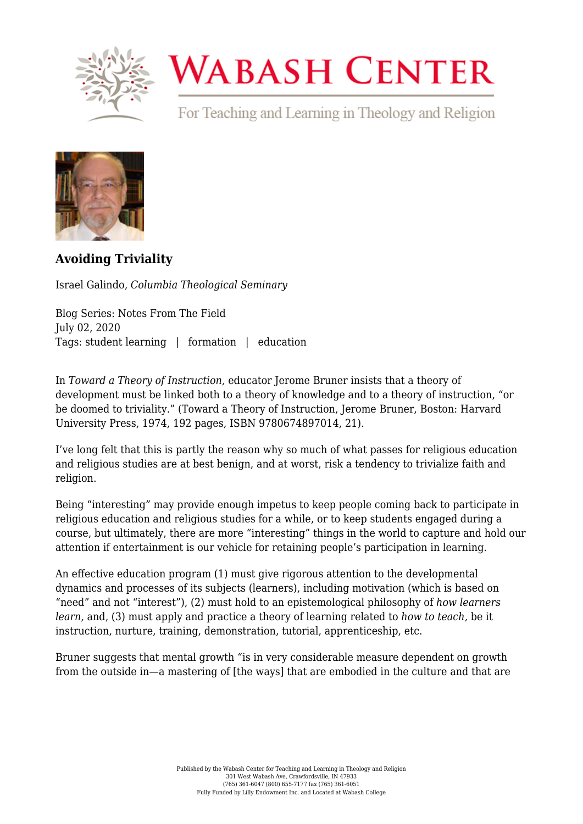

## **WABASH CENTER**

For Teaching and Learning in Theology and Religion



**[Avoiding Triviality](https://www.wabashcenter.wabash.edu/2020/07/avoiding-triviality/)**

Israel Galindo, *Columbia Theological Seminary*

Blog Series: Notes From The Field July 02, 2020 Tags: student learning | formation | education

In *Toward a Theory of Instruction,* educator Jerome Bruner insists that a theory of development must be linked both to a theory of knowledge and to a theory of instruction, "or be doomed to triviality." (Toward a Theory of Instruction, Jerome Bruner, Boston: Harvard University Press, 1974, 192 pages, ISBN 9780674897014, 21).

I've long felt that this is partly the reason why so much of what passes for religious education and religious studies are at best benign, and at worst, risk a tendency to trivialize faith and religion.

Being "interesting" may provide enough impetus to keep people coming back to participate in religious education and religious studies for a while, or to keep students engaged during a course, but ultimately, there are more "interesting" things in the world to capture and hold our attention if entertainment is our vehicle for retaining people's participation in learning.

An effective education program (1) must give rigorous attention to the developmental dynamics and processes of its subjects (learners), including motivation (which is based on "need" and not "interest"), (2) must hold to an epistemological philosophy of *how learners learn,* and, (3) must apply and practice a theory of learning related to *how to teach,* be it instruction, nurture, training, demonstration, tutorial, apprenticeship, etc.

Bruner suggests that mental growth "is in very considerable measure dependent on growth from the outside in—a mastering of [the ways] that are embodied in the culture and that are